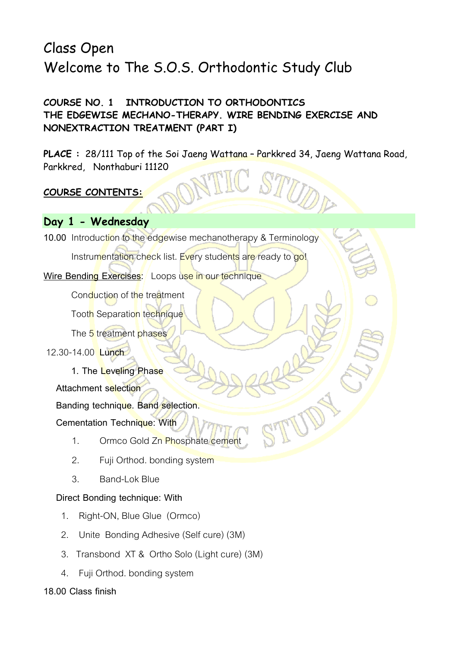# Class Open Welcome to The S.O.S. Orthodontic Study Club

# **COURSE NO. 1 INTRODUCTION TO ORTHODONTICS THE EDGEWISE MECHANO-THERAPY. WIRE BENDING EXERCISE AND NONEXTRACTION TREATMENT (PART I)**

**PLACE :** 28/111 Top of the Soi Jaeng Wattana – Parkkred 34, Jaeng Wattana Road, Parkkred, Nonthaburi 11120

# **COURSE CONTENTS:**

# **Day 1 - Wednesday**

**10.00** Introduction to the edgewise mechanotherapy & Terminology

Instrumentation check list. Every students are ready to go!

Wire Bending Exercises: Loops use in our technique

Conduction of the treatment

Tooth Separation technique

The 5 treatment phases

12.30-14.00 **Lunch**

**1. The Leveling Phase**

 **Attachment selection** 

 **Banding technique. Band selection.** 

 **Cementation Technique: With** 

- 1. Ormco Gold Zn Phosphate cement
- 2. Fuji Orthod. bonding system
- 3. Band-Lok Blue

### **Direct Bonding technique: With**

- 1. Right-ON, Blue Glue (Ormco)
- 2. Unite Bonding Adhesive (Self cure) (3M)
- 3. Transbond XT & Ortho Solo (Light cure) (3M)
- 4. Fuji Orthod. bonding system

### **18.00 Class finish**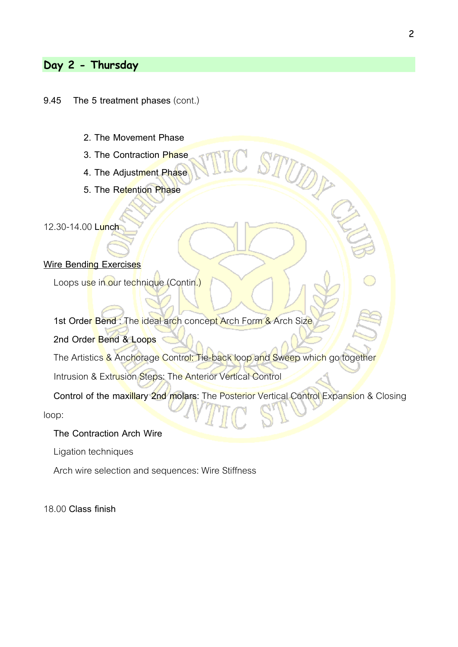# **Day 2 - Thursday**

#### **9.45 The 5 treatment phases** (cont.)

- **2. The Movement Phase**
- **3. The Contraction Phase**
- **4. The Adjustment Phase**
- **5. The Retention Phase**

12.30-14.00 **Lunch**

#### **Wire Bending Exercises**

Loops use in our technique (Contin.)

1st Order Bend : The ideal arch concept Arch Form & Arch Size

**2nd Order Bend & Loops**

The Artistics & Anchorage Control: Tie-back loop and Sweep which go together

Intrusion & Extrusion Steps: The Anterior Vertical Control

 **Control of the maxillary 2nd molars:** The Posterior Vertical Control Expansion & Closing loop:

TUDS

### **The Contraction Arch Wire**

Ligation techniques

Arch wire selection and sequences: Wire Stiffness

18.00 **Class finish**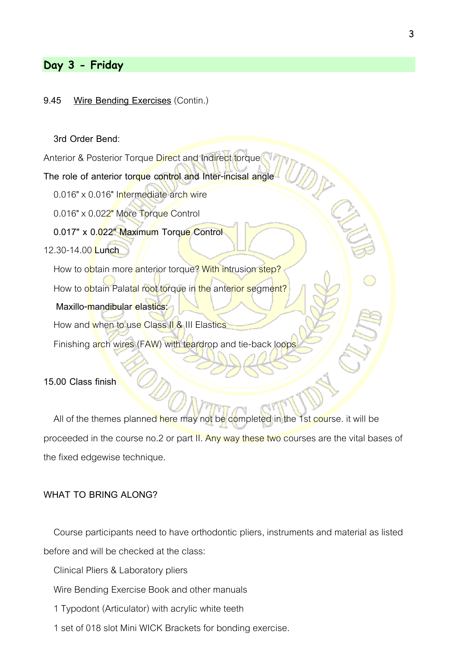## **Day 3 - Friday**

#### **9.45 Wire Bending Exercises** (Contin.)

#### **3rd Order Bend**:

Anterior & Posterior Torque Direct and Indirect torque

#### **The role of anterior torque control and Inter-incisal angle**

0.016" x 0.016" Intermediate arch wire

0.016" x 0.022" More Torque Control

**0.017" x 0.022" Maximum Torque Control**

#### 12.30-14.00 **Lunch**

How to obtain more anterior torque? With intrusion step? How to obtain Palatal root torque in the anterior segment?

#### **Maxillo-mandibular elastics:**

How and when to use Class II & III Elastics

Finishing arch wires (FAW) with teardrop and tie-back loops

#### **15.00 Class finish**

All of the themes planned here may not be completed in the 1st course. it will be proceeded in the course no.2 or part II. Any way these two courses are the vital bases of the fixed edgewise technique.

#### **WHAT TO BRING ALONG?**

 Course participants need to have orthodontic pliers, instruments and material as listed before and will be checked at the class:

Clinical Pliers & Laboratory pliers

Wire Bending Exercise Book and other manuals

1 Typodont (Articulator) with acrylic white teeth

1 set of 018 slot Mini WICK Brackets for bonding exercise.